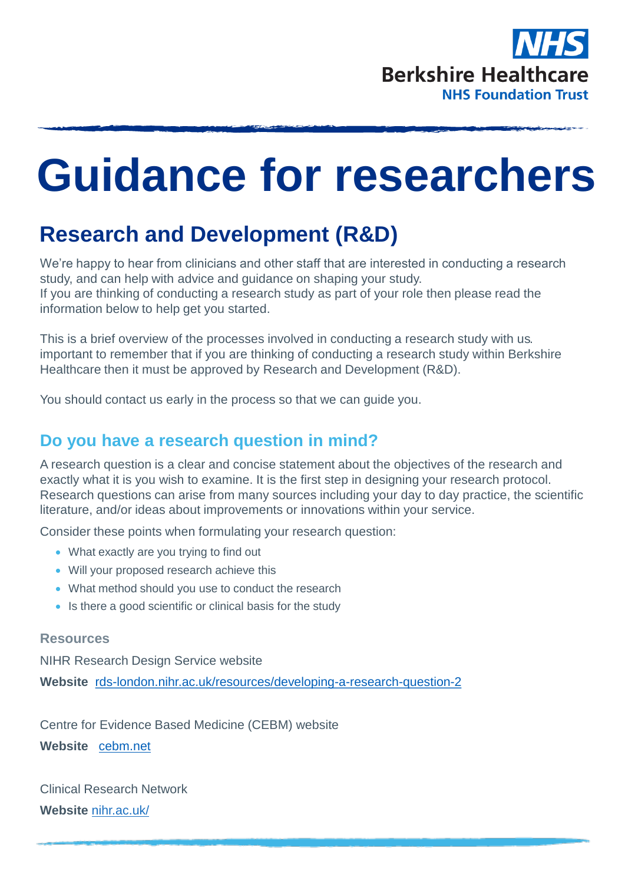

# **Guidance for researchers**

## **Research and Development (R&D)**

We're happy to hear from clinicians and other staff that are interested in conducting a research study, and can help with advice and guidance on shaping your study. If you are thinking of conducting a research study as part of your role then please read the information below to help get you started.

This is a brief overview of the processes involved in conducting a research study with us. important to remember that if you are thinking of conducting a research study within Berkshire Healthcare then it must be approved by Research and Development (R&D).

You should contact us early in the process so that we can guide you.

#### **Do you have a research question in mind?**

A research question is a clear and concise statement about the objectives of the research and exactly what it is you wish to examine. It is the first step in designing your research protocol. Research questions can arise from many sources including your day to day practice, the scientific literature, and/or ideas about improvements or innovations within your service.

Consider these points when formulating your research question:

- What exactly are you trying to find out
- Will your proposed research achieve this
- What method should you use to conduct the research
- Is there a good scientific or clinical basis for the study

#### **Resources**

NIHR Research Design Service website

**Website** [rds-london.nihr.ac.uk/resources/developing-a-research-question-2](https://www.rds-london.nihr.ac.uk/resources/developing-a-research-question-2/) 

Centre for Evidence Based Medicine (CEBM) website

**Website** [cebm.net](http://cebm.net/wp-content/uploads/sites/4/2014/10/Lecture-2-Introduction-to-EBM-question-formulation.pdf)

Clinical Research Network **Website** [nihr.ac.uk/](https://www.nihr.ac.uk/researchers/collaborations-services-and-support-for-your-research/)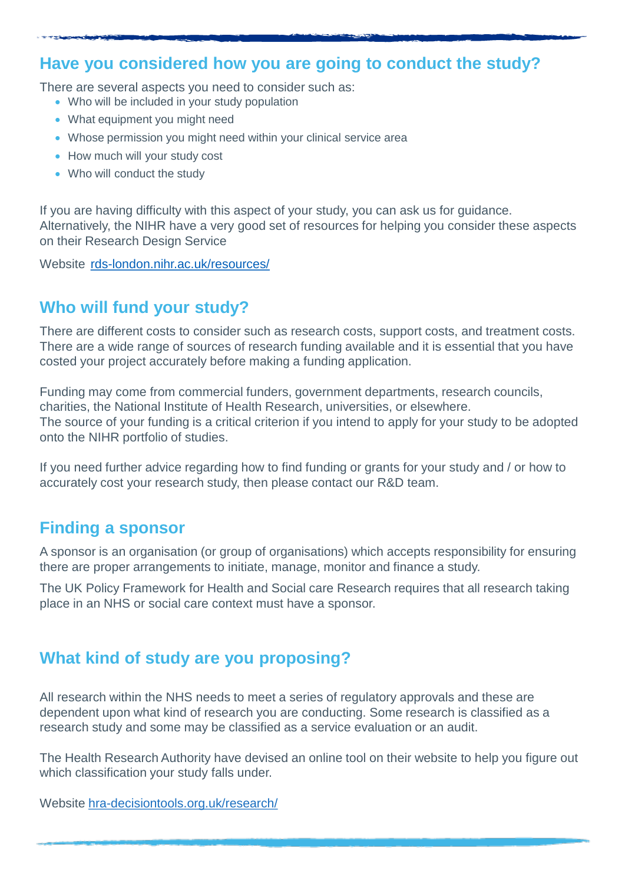#### **Have you considered how you are going to conduct the study?**

There are several aspects you need to consider such as:

- Who will be included in your study population
- What equipment you might need
- Whose permission you might need within your clinical service area
- How much will your study cost
- Who will conduct the study

If you are having difficulty with this aspect of your study, you can ask us for guidance. Alternatively, the NIHR have a very good set of resources for helping you consider these aspects on their Research Design Service

Website [rds-london.nihr.ac.uk/resources/](https://www.rds-london.nihr.ac.uk/resources/)

## **Who will fund your study?**

There are different costs to consider such as research costs, support costs, and treatment costs. There are a wide range of sources of research funding available and it is essential that you have costed your project accurately before making a funding application.

Funding may come from commercial funders, government departments, research councils, charities, the National Institute of Health Research, universities, or elsewhere. The source of your funding is a critical criterion if you intend to apply for your study to be adopted onto the NIHR portfolio of studies.

If you need further advice regarding how to find funding or grants for your study and / or how to accurately cost your research study, then please contact our R&D team.

#### **Finding a sponsor**

A sponsor is an organisation (or group of organisations) which accepts responsibility for ensuring there are proper arrangements to initiate, manage, monitor and finance a study.

The UK Policy Framework for Health and Social care Research requires that all research taking place in an NHS or social care context must have a sponsor.

#### **What kind of study are you proposing?**

All research within the NHS needs to meet a series of regulatory approvals and these are dependent upon what kind of research you are conducting. Some research is classified as a research study and some may be classified as a service evaluation or an audit.

The Health Research Authority have devised an online tool on their website to help you figure out which classification your study falls under.

Website [hra-decisiontools.org.uk/research/](http://www.hra-decisiontools.org.uk/research/)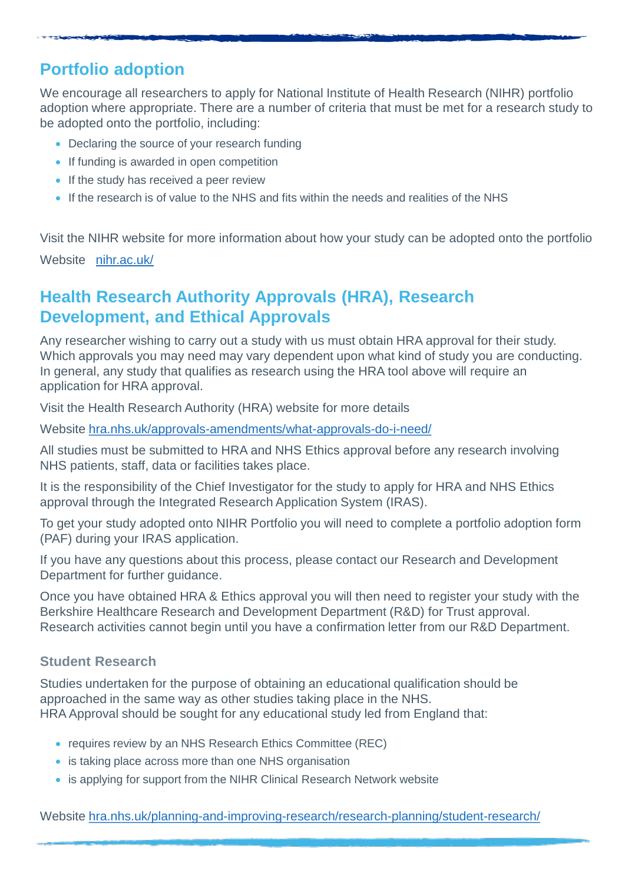## **Portfolio adoption**

We encourage all researchers to apply for National Institute of Health Research (NIHR) portfolio adoption where appropriate. There are a number of criteria that must be met for a research study to be adopted onto the portfolio, including:

- Declaring the source of your research funding
- If funding is awarded in open competition
- If the study has received a peer review
- If the research is of value to the NHS and fits within the needs and realities of the NHS

Visit the NIHR website for more information about how your study can be adopted onto the portfolio Website [nihr.ac.uk/](https://www.nihr.ac.uk/researchers/collaborations-services-and-support-for-your-research/run-your-study/crn-portfolio.htm)

#### **Health Research Authority Approvals (HRA), Research Development, and Ethical Approvals**

Any researcher wishing to carry out a study with us must obtain HRA approval for their study. Which approvals you may need may vary dependent upon what kind of study you are conducting. In general, any study that qualifies as research using the HRA tool above will require an application for HRA approval.

Visit the Health Research Authority (HRA) website for more details

Website [hra.nhs.uk/approvals-amendments/what-approvals-do-i-need/](https://www.hra.nhs.uk/approvals-amendments/what-approvals-do-i-need/)

All studies must be submitted to HRA and NHS Ethics approval before any research involving NHS patients, staff, data or facilities takes place.

It is the responsibility of the Chief Investigator for the study to apply for HRA and NHS Ethics approval through the Integrated Research Application System (IRAS).

To get your study adopted onto NIHR Portfolio you will need to complete a portfolio adoption form (PAF) during your IRAS application.

If you have any questions about this process, please contact our Research and Development Department for further quidance.

Once you have obtained HRA & Ethics approval you will then need to register your study with the Berkshire Healthcare Research and Development Department (R&D) for Trust approval. Research activities cannot begin until you have a confirmation letter from our R&D Department.

#### **Student Research**

Studies undertaken for the purpose of obtaining an educational qualification should be approached in the same way as other studies taking place in the NHS. HRA Approval should be sought for any educational study led from England that:

- requires review by an NHS Research Ethics Committee (REC)
- is taking place across more than one NHS organisation
- is applying for support from the NIHR Clinical Research Network website

Website [hra.nhs.uk/planning-and-improving-research/research-planning/student-research/](https://www.hra.nhs.uk/planning-and-improving-research/research-planning/student-research/)